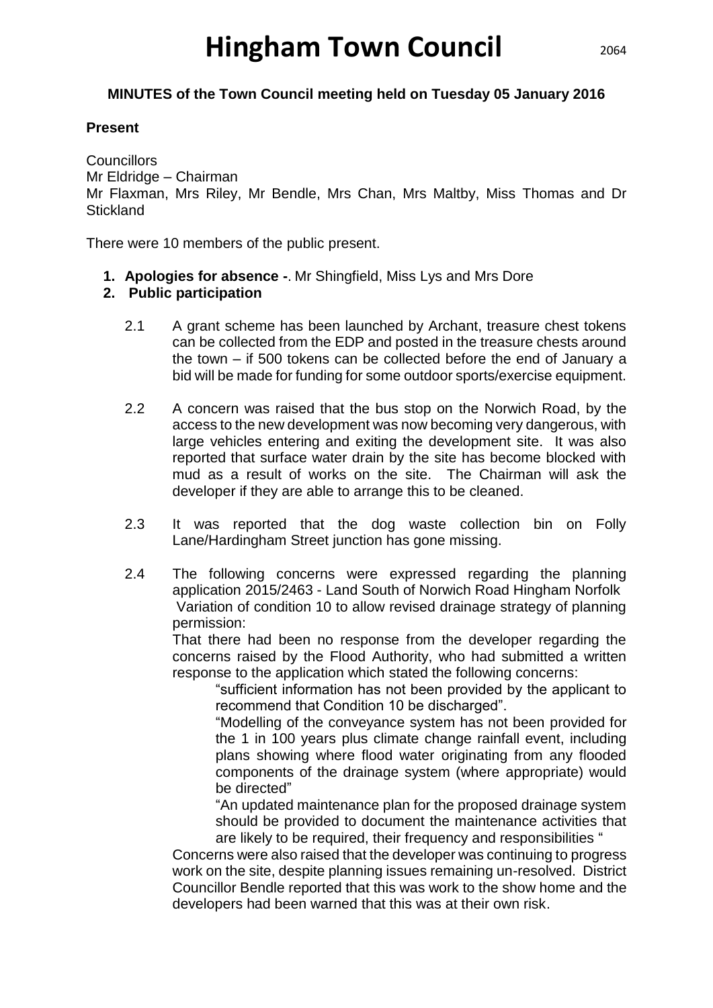# **Hingham Town Council**

#### **MINUTES of the Town Council meeting held on Tuesday 05 January 2016**

#### **Present**

**Councillors** 

Mr Eldridge – Chairman

Mr Flaxman, Mrs Riley, Mr Bendle, Mrs Chan, Mrs Maltby, Miss Thomas and Dr **Stickland** 

There were 10 members of the public present.

**1. Apologies for absence -**. Mr Shingfield, Miss Lys and Mrs Dore

#### **2. Public participation**

- 2.1 A grant scheme has been launched by Archant, treasure chest tokens can be collected from the EDP and posted in the treasure chests around the town – if 500 tokens can be collected before the end of January a bid will be made for funding for some outdoor sports/exercise equipment.
- 2.2 A concern was raised that the bus stop on the Norwich Road, by the access to the new development was now becoming very dangerous, with large vehicles entering and exiting the development site. It was also reported that surface water drain by the site has become blocked with mud as a result of works on the site. The Chairman will ask the developer if they are able to arrange this to be cleaned.
- 2.3 It was reported that the dog waste collection bin on Folly Lane/Hardingham Street junction has gone missing.
- 2.4 The following concerns were expressed regarding the planning application 2015/2463 - Land South of Norwich Road Hingham Norfolk Variation of condition 10 to allow revised drainage strategy of planning permission:

That there had been no response from the developer regarding the concerns raised by the Flood Authority, who had submitted a written response to the application which stated the following concerns:

"sufficient information has not been provided by the applicant to recommend that Condition 10 be discharged".

"Modelling of the conveyance system has not been provided for the 1 in 100 years plus climate change rainfall event, including plans showing where flood water originating from any flooded components of the drainage system (where appropriate) would be directed"

"An updated maintenance plan for the proposed drainage system should be provided to document the maintenance activities that are likely to be required, their frequency and responsibilities "

Concerns were also raised that the developer was continuing to progress work on the site, despite planning issues remaining un-resolved. District Councillor Bendle reported that this was work to the show home and the developers had been warned that this was at their own risk.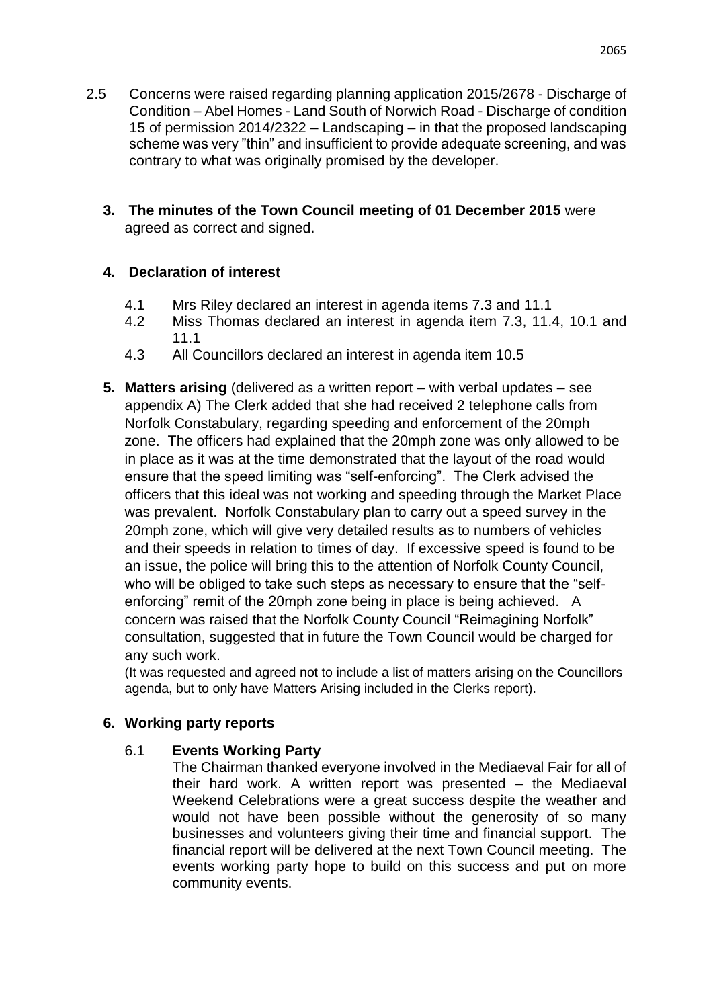- 2.5 Concerns were raised regarding planning application 2015/2678 Discharge of Condition – Abel Homes - Land South of Norwich Road - Discharge of condition 15 of permission 2014/2322 – Landscaping – in that the proposed landscaping scheme was very "thin" and insufficient to provide adequate screening, and was contrary to what was originally promised by the developer.
	- **3. The minutes of the Town Council meeting of 01 December 2015** were agreed as correct and signed.

# **4. Declaration of interest**

- 4.1 Mrs Riley declared an interest in agenda items 7.3 and 11.1
- 4.2 Miss Thomas declared an interest in agenda item 7.3, 11.4, 10.1 and 11.1
- 4.3 All Councillors declared an interest in agenda item 10.5
- **5. Matters arising** (delivered as a written report with verbal updates see appendix A) The Clerk added that she had received 2 telephone calls from Norfolk Constabulary, regarding speeding and enforcement of the 20mph zone. The officers had explained that the 20mph zone was only allowed to be in place as it was at the time demonstrated that the layout of the road would ensure that the speed limiting was "self-enforcing". The Clerk advised the officers that this ideal was not working and speeding through the Market Place was prevalent. Norfolk Constabulary plan to carry out a speed survey in the 20mph zone, which will give very detailed results as to numbers of vehicles and their speeds in relation to times of day. If excessive speed is found to be an issue, the police will bring this to the attention of Norfolk County Council, who will be obliged to take such steps as necessary to ensure that the "selfenforcing" remit of the 20mph zone being in place is being achieved. A concern was raised that the Norfolk County Council "Reimagining Norfolk" consultation, suggested that in future the Town Council would be charged for any such work.

(It was requested and agreed not to include a list of matters arising on the Councillors agenda, but to only have Matters Arising included in the Clerks report).

#### **6. Working party reports**

#### 6.1 **Events Working Party**

The Chairman thanked everyone involved in the Mediaeval Fair for all of their hard work. A written report was presented – the Mediaeval Weekend Celebrations were a great success despite the weather and would not have been possible without the generosity of so many businesses and volunteers giving their time and financial support. The financial report will be delivered at the next Town Council meeting. The events working party hope to build on this success and put on more community events.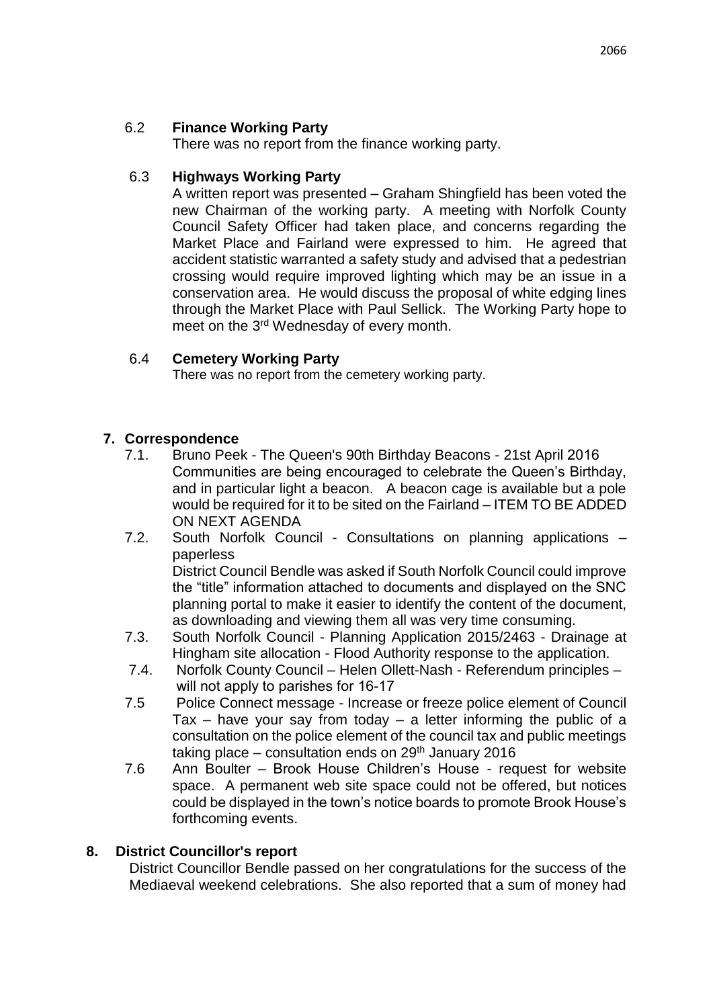#### 6.2 **Finance Working Party**

There was no report from the finance working party.

#### 6.3 **Highways Working Party**

A written report was presented – Graham Shingfield has been voted the new Chairman of the working party. A meeting with Norfolk County Council Safety Officer had taken place, and concerns regarding the Market Place and Fairland were expressed to him. He agreed that accident statistic warranted a safety study and advised that a pedestrian crossing would require improved lighting which may be an issue in a conservation area. He would discuss the proposal of white edging lines through the Market Place with Paul Sellick. The Working Party hope to meet on the 3<sup>rd</sup> Wednesday of every month.

#### 6.4 **Cemetery Working Party**

There was no report from the cemetery working party.

# **7. Correspondence**

- 7.1. Bruno Peek The Queen's 90th Birthday Beacons 21st April 2016 Communities are being encouraged to celebrate the Queen's Birthday, and in particular light a beacon. A beacon cage is available but a pole would be required for it to be sited on the Fairland – ITEM TO BE ADDED ON NEXT AGENDA
- 7.2. South Norfolk Council Consultations on planning applications paperless District Council Bendle was asked if South Norfolk Council could improve the "title" information attached to documents and displayed on the SNC planning portal to make it easier to identify the content of the document, as downloading and viewing them all was very time consuming.
- 7.3. South Norfolk Council Planning Application 2015/2463 Drainage at Hingham site allocation - Flood Authority response to the application.
- 7.4. Norfolk County Council Helen Ollett-Nash Referendum principles will not apply to parishes for 16-17
- 7.5 Police Connect message Increase or freeze police element of Council Tax  $-$  have your say from today  $-$  a letter informing the public of a consultation on the police element of the council tax and public meetings taking place – consultation ends on  $29<sup>th</sup>$  January 2016
- 7.6 Ann Boulter Brook House Children's House request for website space. A permanent web site space could not be offered, but notices could be displayed in the town's notice boards to promote Brook House's forthcoming events.

#### **8. District Councillor's report**

District Councillor Bendle passed on her congratulations for the success of the Mediaeval weekend celebrations. She also reported that a sum of money had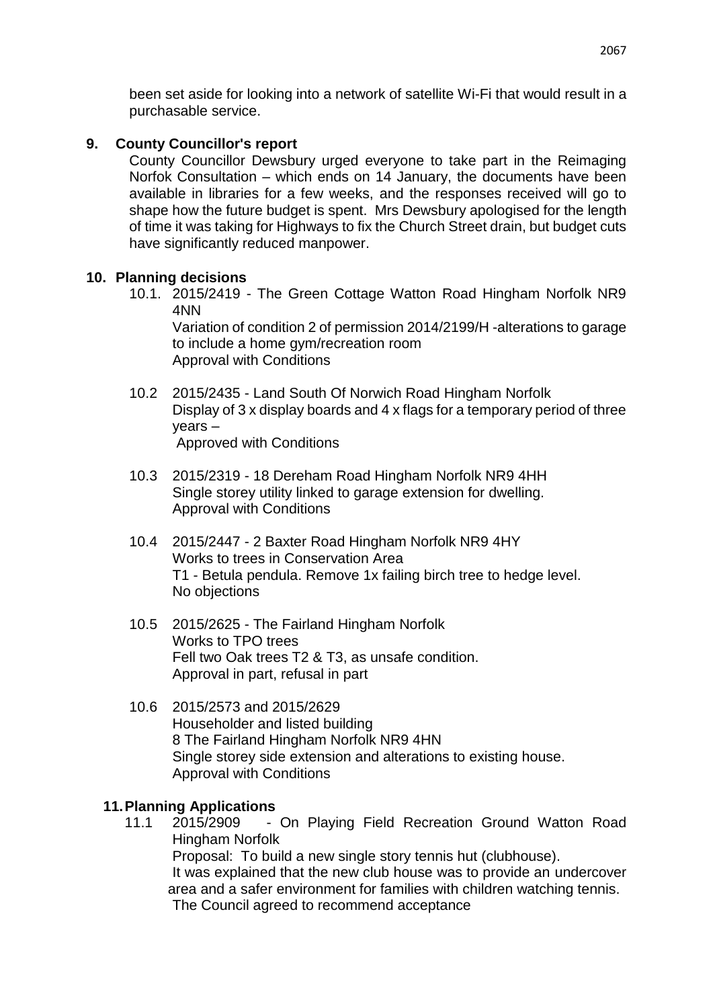been set aside for looking into a network of satellite Wi-Fi that would result in a purchasable service.

#### **9. County Councillor's report**

County Councillor Dewsbury urged everyone to take part in the Reimaging Norfok Consultation – which ends on 14 January, the documents have been available in libraries for a few weeks, and the responses received will go to shape how the future budget is spent. Mrs Dewsbury apologised for the length of time it was taking for Highways to fix the Church Street drain, but budget cuts have significantly reduced manpower.

#### **10. Planning decisions**

10.1. 2015/2419 - The Green Cottage Watton Road Hingham Norfolk NR9 4NN

Variation of condition 2 of permission 2014/2199/H -alterations to garage to include a home gym/recreation room Approval with Conditions

- 10.2 2015/2435 Land South Of Norwich Road Hingham Norfolk Display of 3 x display boards and 4 x flags for a temporary period of three years – Approved with Conditions
- 10.3 2015/2319 18 Dereham Road Hingham Norfolk NR9 4HH Single storey utility linked to garage extension for dwelling. Approval with Conditions
- 10.4 2015/2447 2 Baxter Road Hingham Norfolk NR9 4HY Works to trees in Conservation Area T1 - Betula pendula. Remove 1x failing birch tree to hedge level. No objections
- 10.5 2015/2625 The Fairland Hingham Norfolk Works to TPO trees Fell two Oak trees T2 & T3, as unsafe condition. Approval in part, refusal in part
- 10.6 2015/2573 and 2015/2629 Householder and listed building 8 The Fairland Hingham Norfolk NR9 4HN Single storey side extension and alterations to existing house. Approval with Conditions

#### **11.Planning Applications**

11.1 2015/2909 - On Playing Field Recreation Ground Watton Road Hingham Norfolk Proposal: To build a new single story tennis hut (clubhouse). It was explained that the new club house was to provide an undercover area and a safer environment for families with children watching tennis. The Council agreed to recommend acceptance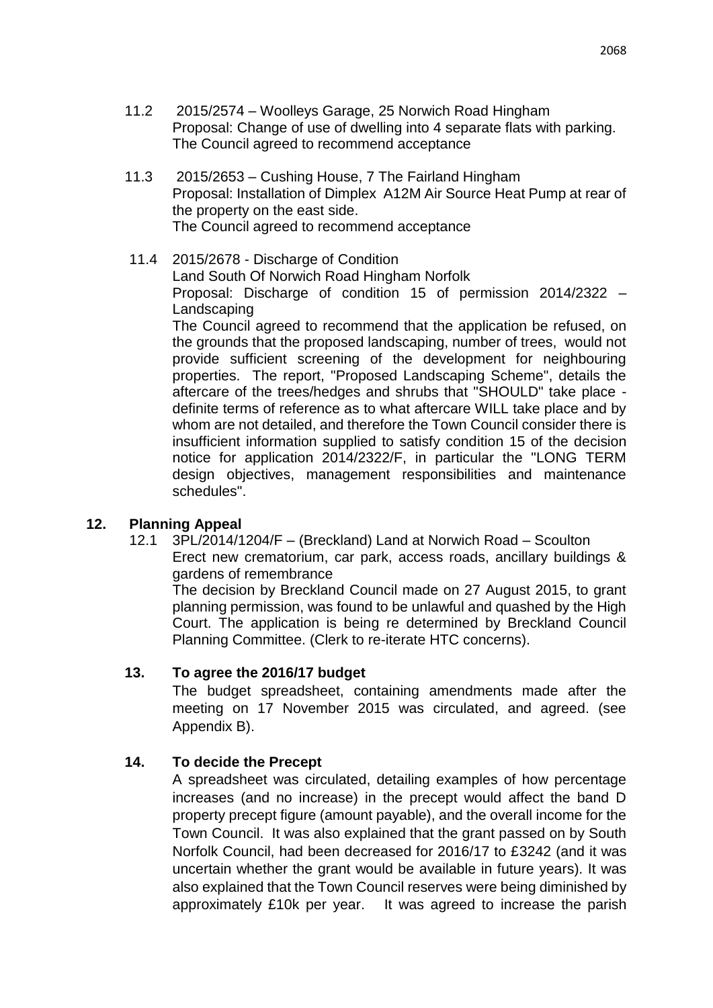- 11.2 2015/2574 Woolleys Garage, 25 Norwich Road Hingham Proposal: Change of use of dwelling into 4 separate flats with parking. The Council agreed to recommend acceptance
- 11.3 2015/2653 Cushing House, 7 The Fairland Hingham Proposal: Installation of Dimplex A12M Air Source Heat Pump at rear of the property on the east side. The Council agreed to recommend acceptance
- 11.4 2015/2678 Discharge of Condition Land South Of Norwich Road Hingham Norfolk Proposal: Discharge of condition 15 of permission 2014/2322 – Landscaping The Council agreed to recommend that the application be refused, on the grounds that the proposed landscaping, number of trees, would not provide sufficient screening of the development for neighbouring properties. The report, "Proposed Landscaping Scheme", details the aftercare of the trees/hedges and shrubs that "SHOULD" take place definite terms of reference as to what aftercare WILL take place and by whom are not detailed, and therefore the Town Council consider there is insufficient information supplied to satisfy condition 15 of the decision notice for application 2014/2322/F, in particular the "LONG TERM design objectives, management responsibilities and maintenance schedules".

#### **12. Planning Appeal**

12.1 3PL/2014/1204/F – (Breckland) Land at Norwich Road – Scoulton Erect new crematorium, car park, access roads, ancillary buildings & gardens of remembrance

The decision by Breckland Council made on 27 August 2015, to grant planning permission, was found to be unlawful and quashed by the High Court. The application is being re determined by Breckland Council Planning Committee. (Clerk to re-iterate HTC concerns).

#### **13. To agree the 2016/17 budget**

The budget spreadsheet, containing amendments made after the meeting on 17 November 2015 was circulated, and agreed. (see Appendix B).

#### **14. To decide the Precept**

A spreadsheet was circulated, detailing examples of how percentage increases (and no increase) in the precept would affect the band D property precept figure (amount payable), and the overall income for the Town Council. It was also explained that the grant passed on by South Norfolk Council, had been decreased for 2016/17 to £3242 (and it was uncertain whether the grant would be available in future years). It was also explained that the Town Council reserves were being diminished by approximately £10k per year. It was agreed to increase the parish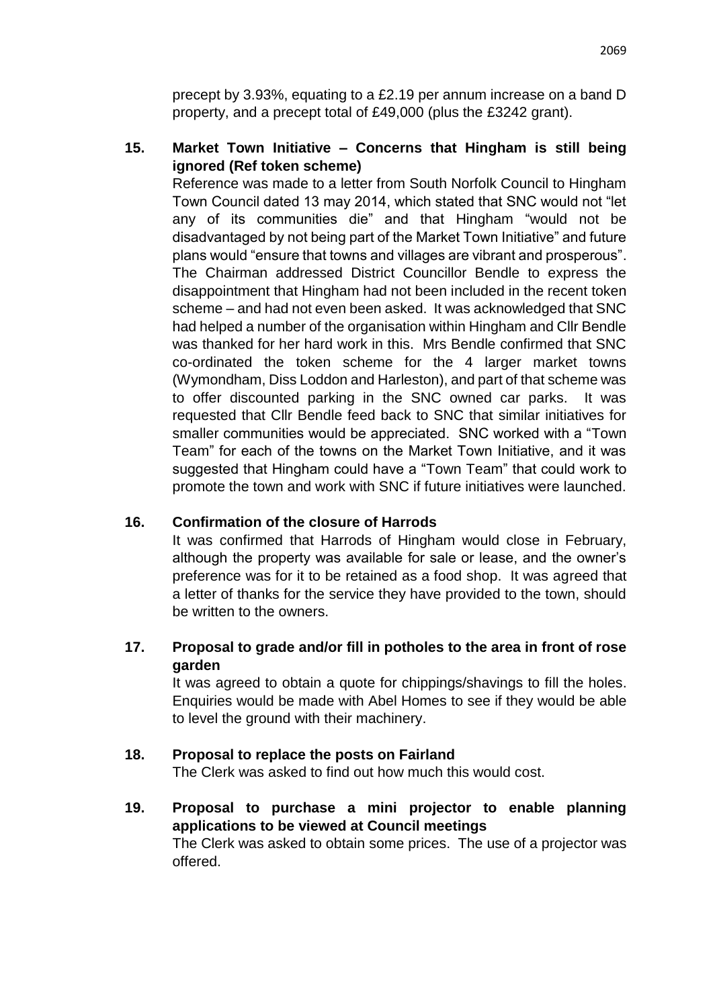precept by 3.93%, equating to a £2.19 per annum increase on a band D property, and a precept total of £49,000 (plus the £3242 grant).

## **15. Market Town Initiative – Concerns that Hingham is still being ignored (Ref token scheme)**

Reference was made to a letter from South Norfolk Council to Hingham Town Council dated 13 may 2014, which stated that SNC would not "let any of its communities die" and that Hingham "would not be disadvantaged by not being part of the Market Town Initiative" and future plans would "ensure that towns and villages are vibrant and prosperous". The Chairman addressed District Councillor Bendle to express the disappointment that Hingham had not been included in the recent token scheme – and had not even been asked. It was acknowledged that SNC had helped a number of the organisation within Hingham and Cllr Bendle was thanked for her hard work in this. Mrs Bendle confirmed that SNC co-ordinated the token scheme for the 4 larger market towns (Wymondham, Diss Loddon and Harleston), and part of that scheme was to offer discounted parking in the SNC owned car parks. It was requested that Cllr Bendle feed back to SNC that similar initiatives for smaller communities would be appreciated. SNC worked with a "Town Team" for each of the towns on the Market Town Initiative, and it was suggested that Hingham could have a "Town Team" that could work to promote the town and work with SNC if future initiatives were launched.

#### **16. Confirmation of the closure of Harrods**

It was confirmed that Harrods of Hingham would close in February, although the property was available for sale or lease, and the owner's preference was for it to be retained as a food shop. It was agreed that a letter of thanks for the service they have provided to the town, should be written to the owners.

# **17. Proposal to grade and/or fill in potholes to the area in front of rose garden**

It was agreed to obtain a quote for chippings/shavings to fill the holes. Enquiries would be made with Abel Homes to see if they would be able to level the ground with their machinery.

#### **18. Proposal to replace the posts on Fairland**

The Clerk was asked to find out how much this would cost.

**19. Proposal to purchase a mini projector to enable planning applications to be viewed at Council meetings**  The Clerk was asked to obtain some prices. The use of a projector was offered.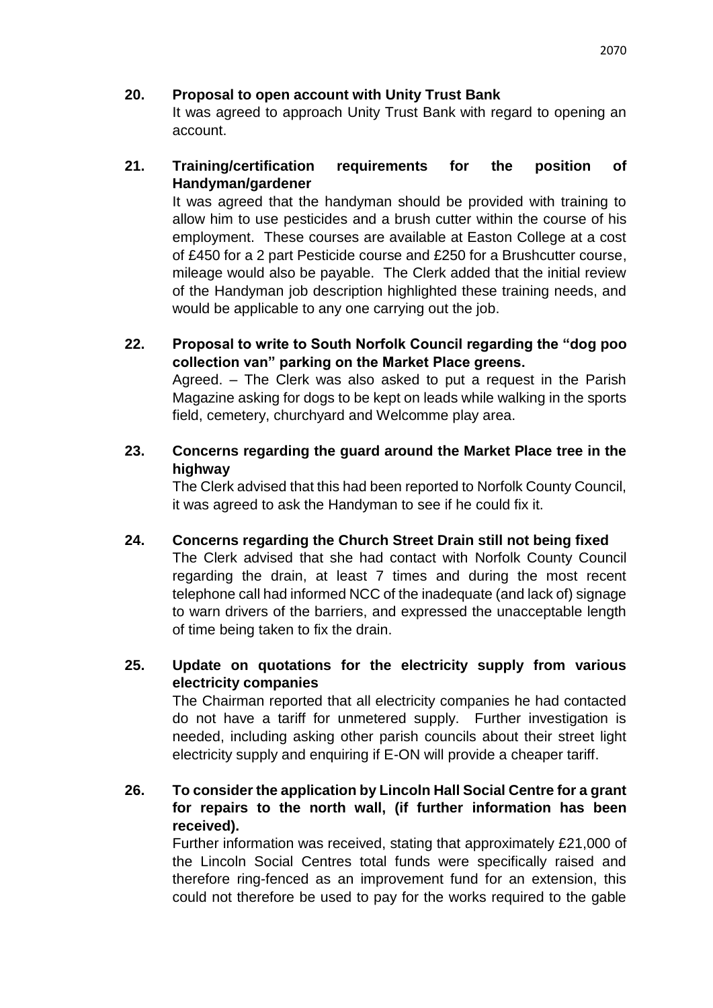#### **20. Proposal to open account with Unity Trust Bank**

It was agreed to approach Unity Trust Bank with regard to opening an account.

# **21. Training/certification requirements for the position of Handyman/gardener**

It was agreed that the handyman should be provided with training to allow him to use pesticides and a brush cutter within the course of his employment. These courses are available at Easton College at a cost of £450 for a 2 part Pesticide course and £250 for a Brushcutter course, mileage would also be payable. The Clerk added that the initial review of the Handyman job description highlighted these training needs, and would be applicable to any one carrying out the job.

- **22. Proposal to write to South Norfolk Council regarding the "dog poo collection van" parking on the Market Place greens.** Agreed. – The Clerk was also asked to put a request in the Parish Magazine asking for dogs to be kept on leads while walking in the sports field, cemetery, churchyard and Welcomme play area.
- **23. Concerns regarding the guard around the Market Place tree in the highway**

The Clerk advised that this had been reported to Norfolk County Council, it was agreed to ask the Handyman to see if he could fix it.

**24. Concerns regarding the Church Street Drain still not being fixed** The Clerk advised that she had contact with Norfolk County Council regarding the drain, at least 7 times and during the most recent telephone call had informed NCC of the inadequate (and lack of) signage to warn drivers of the barriers, and expressed the unacceptable length of time being taken to fix the drain.

# **25. Update on quotations for the electricity supply from various electricity companies**

The Chairman reported that all electricity companies he had contacted do not have a tariff for unmetered supply. Further investigation is needed, including asking other parish councils about their street light electricity supply and enquiring if E-ON will provide a cheaper tariff.

# **26. To consider the application by Lincoln Hall Social Centre for a grant for repairs to the north wall, (if further information has been received).**

Further information was received, stating that approximately £21,000 of the Lincoln Social Centres total funds were specifically raised and therefore ring-fenced as an improvement fund for an extension, this could not therefore be used to pay for the works required to the gable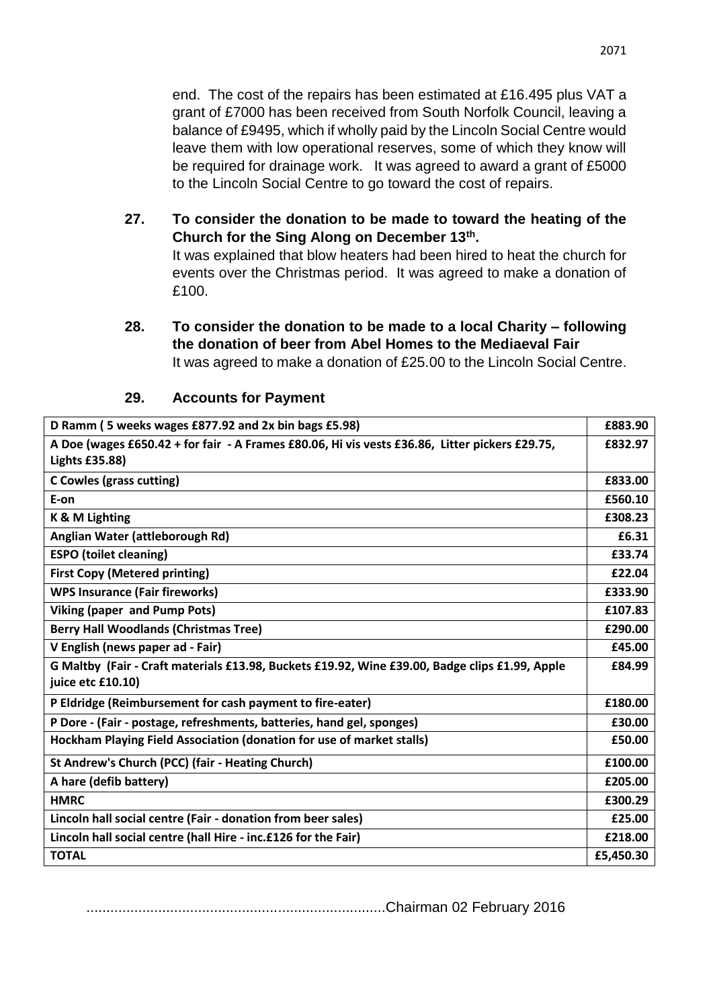end. The cost of the repairs has been estimated at £16.495 plus VAT a grant of £7000 has been received from South Norfolk Council, leaving a balance of £9495, which if wholly paid by the Lincoln Social Centre would leave them with low operational reserves, some of which they know will be required for drainage work. It was agreed to award a grant of £5000 to the Lincoln Social Centre to go toward the cost of repairs.

**27. To consider the donation to be made to toward the heating of the Church for the Sing Along on December 13th .**

It was explained that blow heaters had been hired to heat the church for events over the Christmas period. It was agreed to make a donation of £100.

**28. To consider the donation to be made to a local Charity – following the donation of beer from Abel Homes to the Mediaeval Fair** It was agreed to make a donation of £25.00 to the Lincoln Social Centre.

| D Ramm (5 weeks wages £877.92 and 2x bin bags £5.98)                                           | £883.90   |
|------------------------------------------------------------------------------------------------|-----------|
| A Doe (wages £650.42 + for fair - A Frames £80.06, Hi vis vests £36.86, Litter pickers £29.75, | £832.97   |
| <b>Lights £35.88)</b>                                                                          |           |
| <b>C Cowles (grass cutting)</b>                                                                | £833.00   |
| E-on                                                                                           | £560.10   |
| K & M Lighting                                                                                 | £308.23   |
| Anglian Water (attleborough Rd)                                                                | £6.31     |
| <b>ESPO (toilet cleaning)</b>                                                                  | £33.74    |
| <b>First Copy (Metered printing)</b>                                                           | £22.04    |
| <b>WPS Insurance (Fair fireworks)</b>                                                          | £333.90   |
| <b>Viking (paper and Pump Pots)</b>                                                            | £107.83   |
| <b>Berry Hall Woodlands (Christmas Tree)</b>                                                   | £290.00   |
| V English (news paper ad - Fair)                                                               | £45.00    |
| G Maltby (Fair - Craft materials £13.98, Buckets £19.92, Wine £39.00, Badge clips £1.99, Apple | £84.99    |
| juice etc £10.10)                                                                              |           |
| P Eldridge (Reimbursement for cash payment to fire-eater)                                      | £180.00   |
| P Dore - (Fair - postage, refreshments, batteries, hand gel, sponges)                          | £30.00    |
| Hockham Playing Field Association (donation for use of market stalls)                          | £50.00    |
| St Andrew's Church (PCC) (fair - Heating Church)                                               | £100.00   |
| A hare (defib battery)                                                                         | £205.00   |
| <b>HMRC</b>                                                                                    | £300.29   |
| Lincoln hall social centre (Fair - donation from beer sales)                                   | £25.00    |
| Lincoln hall social centre (hall Hire - inc.£126 for the Fair)                                 | £218.00   |
| <b>TOTAL</b>                                                                                   | £5,450.30 |

#### **29. Accounts for Payment**

...........................................................................Chairman 02 February 2016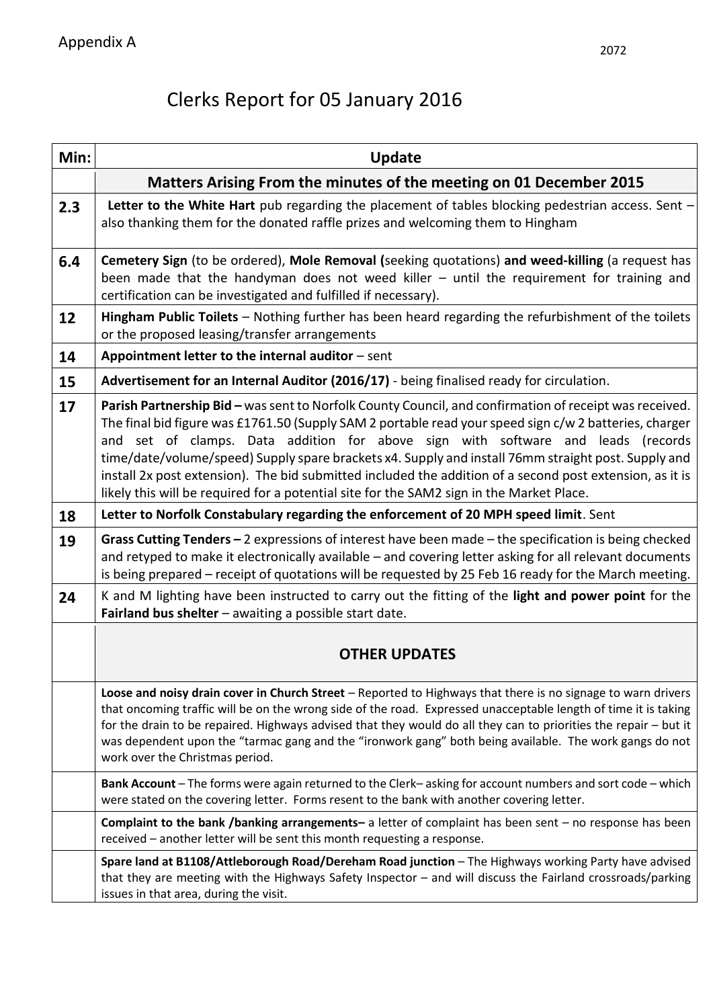# Clerks Report for 05 January 2016

| Min: | <b>Update</b>                                                                                                                                                                                                                                                                                                                                                                                                                                                                                                                                                                                                       |  |  |  |  |  |  |
|------|---------------------------------------------------------------------------------------------------------------------------------------------------------------------------------------------------------------------------------------------------------------------------------------------------------------------------------------------------------------------------------------------------------------------------------------------------------------------------------------------------------------------------------------------------------------------------------------------------------------------|--|--|--|--|--|--|
|      | Matters Arising From the minutes of the meeting on 01 December 2015                                                                                                                                                                                                                                                                                                                                                                                                                                                                                                                                                 |  |  |  |  |  |  |
| 2.3  | Letter to the White Hart pub regarding the placement of tables blocking pedestrian access. Sent -<br>also thanking them for the donated raffle prizes and welcoming them to Hingham                                                                                                                                                                                                                                                                                                                                                                                                                                 |  |  |  |  |  |  |
| 6.4  | Cemetery Sign (to be ordered), Mole Removal (seeking quotations) and weed-killing (a request has<br>been made that the handyman does not weed killer - until the requirement for training and<br>certification can be investigated and fulfilled if necessary).                                                                                                                                                                                                                                                                                                                                                     |  |  |  |  |  |  |
| 12   | Hingham Public Toilets - Nothing further has been heard regarding the refurbishment of the toilets<br>or the proposed leasing/transfer arrangements                                                                                                                                                                                                                                                                                                                                                                                                                                                                 |  |  |  |  |  |  |
| 14   | Appointment letter to the internal auditor - sent                                                                                                                                                                                                                                                                                                                                                                                                                                                                                                                                                                   |  |  |  |  |  |  |
| 15   | Advertisement for an Internal Auditor (2016/17) - being finalised ready for circulation.                                                                                                                                                                                                                                                                                                                                                                                                                                                                                                                            |  |  |  |  |  |  |
| 17   | Parish Partnership Bid - was sent to Norfolk County Council, and confirmation of receipt was received.<br>The final bid figure was £1761.50 (Supply SAM 2 portable read your speed sign c/w 2 batteries, charger<br>and set of clamps. Data addition for above sign with software and leads (records<br>time/date/volume/speed) Supply spare brackets x4. Supply and install 76mm straight post. Supply and<br>install 2x post extension). The bid submitted included the addition of a second post extension, as it is<br>likely this will be required for a potential site for the SAM2 sign in the Market Place. |  |  |  |  |  |  |
| 18   | Letter to Norfolk Constabulary regarding the enforcement of 20 MPH speed limit. Sent                                                                                                                                                                                                                                                                                                                                                                                                                                                                                                                                |  |  |  |  |  |  |
| 19   | Grass Cutting Tenders $-2$ expressions of interest have been made $-$ the specification is being checked<br>and retyped to make it electronically available - and covering letter asking for all relevant documents<br>is being prepared - receipt of quotations will be requested by 25 Feb 16 ready for the March meeting.                                                                                                                                                                                                                                                                                        |  |  |  |  |  |  |
| 24   | K and M lighting have been instructed to carry out the fitting of the light and power point for the<br>Fairland bus shelter $-$ awaiting a possible start date.                                                                                                                                                                                                                                                                                                                                                                                                                                                     |  |  |  |  |  |  |
|      | <b>OTHER UPDATES</b>                                                                                                                                                                                                                                                                                                                                                                                                                                                                                                                                                                                                |  |  |  |  |  |  |
|      | Loose and noisy drain cover in Church Street - Reported to Highways that there is no signage to warn drivers<br>that oncoming traffic will be on the wrong side of the road. Expressed unacceptable length of time it is taking<br>for the drain to be repaired. Highways advised that they would do all they can to priorities the repair - but it<br>was dependent upon the "tarmac gang and the "ironwork gang" both being available. The work gangs do not<br>work over the Christmas period.                                                                                                                   |  |  |  |  |  |  |
|      | Bank Account - The forms were again returned to the Clerk-asking for account numbers and sort code - which<br>were stated on the covering letter. Forms resent to the bank with another covering letter.                                                                                                                                                                                                                                                                                                                                                                                                            |  |  |  |  |  |  |
|      | Complaint to the bank /banking arrangements- a letter of complaint has been sent - no response has been<br>received - another letter will be sent this month requesting a response.                                                                                                                                                                                                                                                                                                                                                                                                                                 |  |  |  |  |  |  |
|      | Spare land at B1108/Attleborough Road/Dereham Road junction - The Highways working Party have advised<br>that they are meeting with the Highways Safety Inspector - and will discuss the Fairland crossroads/parking<br>issues in that area, during the visit.                                                                                                                                                                                                                                                                                                                                                      |  |  |  |  |  |  |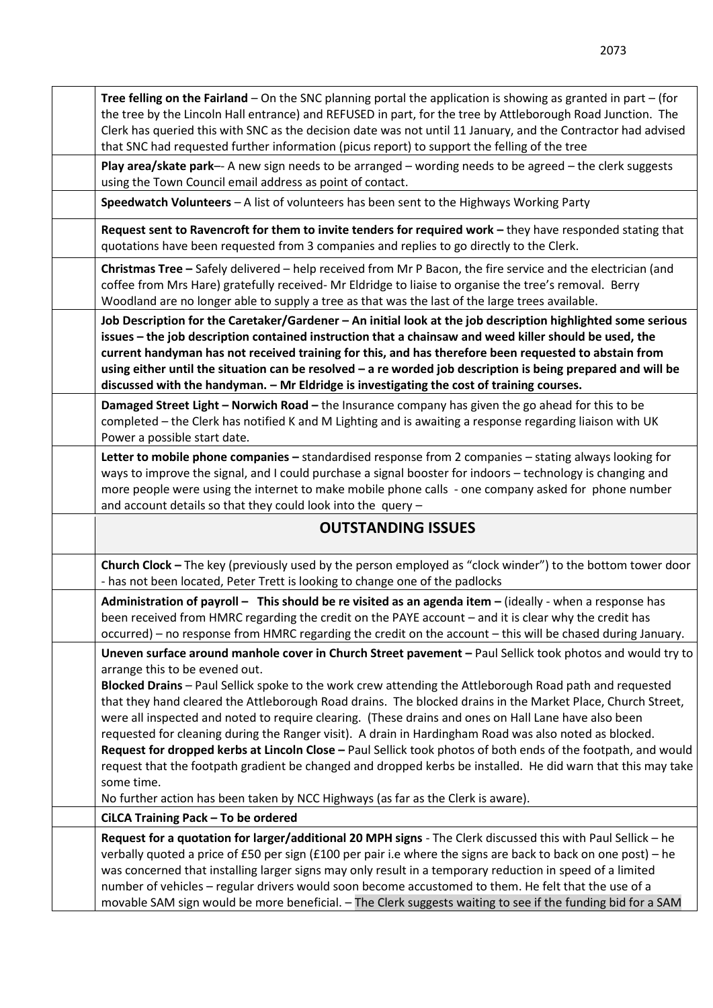| Tree felling on the Fairland – On the SNC planning portal the application is showing as granted in part – (for<br>the tree by the Lincoln Hall entrance) and REFUSED in part, for the tree by Attleborough Road Junction. The<br>Clerk has queried this with SNC as the decision date was not until 11 January, and the Contractor had advised<br>that SNC had requested further information (picus report) to support the felling of the tree                                                                                                                                                                                                                                                                                                                                                                                                                                                                             |
|----------------------------------------------------------------------------------------------------------------------------------------------------------------------------------------------------------------------------------------------------------------------------------------------------------------------------------------------------------------------------------------------------------------------------------------------------------------------------------------------------------------------------------------------------------------------------------------------------------------------------------------------------------------------------------------------------------------------------------------------------------------------------------------------------------------------------------------------------------------------------------------------------------------------------|
| Play area/skate park-- A new sign needs to be arranged - wording needs to be agreed - the clerk suggests<br>using the Town Council email address as point of contact.                                                                                                                                                                                                                                                                                                                                                                                                                                                                                                                                                                                                                                                                                                                                                      |
| Speedwatch Volunteers - A list of volunteers has been sent to the Highways Working Party                                                                                                                                                                                                                                                                                                                                                                                                                                                                                                                                                                                                                                                                                                                                                                                                                                   |
| Request sent to Ravencroft for them to invite tenders for required work - they have responded stating that<br>quotations have been requested from 3 companies and replies to go directly to the Clerk.                                                                                                                                                                                                                                                                                                                                                                                                                                                                                                                                                                                                                                                                                                                     |
| Christmas Tree - Safely delivered - help received from Mr P Bacon, the fire service and the electrician (and<br>coffee from Mrs Hare) gratefully received- Mr Eldridge to liaise to organise the tree's removal. Berry<br>Woodland are no longer able to supply a tree as that was the last of the large trees available.                                                                                                                                                                                                                                                                                                                                                                                                                                                                                                                                                                                                  |
| Job Description for the Caretaker/Gardener - An initial look at the job description highlighted some serious<br>issues - the job description contained instruction that a chainsaw and weed killer should be used, the<br>current handyman has not received training for this, and has therefore been requested to abstain from<br>using either until the situation can be resolved - a re worded job description is being prepared and will be<br>discussed with the handyman. - Mr Eldridge is investigating the cost of training courses.                                                                                                                                                                                                                                                                                                                                                                               |
| Damaged Street Light - Norwich Road - the Insurance company has given the go ahead for this to be<br>completed - the Clerk has notified K and M Lighting and is awaiting a response regarding liaison with UK<br>Power a possible start date.                                                                                                                                                                                                                                                                                                                                                                                                                                                                                                                                                                                                                                                                              |
| Letter to mobile phone companies - standardised response from 2 companies - stating always looking for<br>ways to improve the signal, and I could purchase a signal booster for indoors - technology is changing and<br>more people were using the internet to make mobile phone calls - one company asked for phone number<br>and account details so that they could look into the query -                                                                                                                                                                                                                                                                                                                                                                                                                                                                                                                                |
| <b>OUTSTANDING ISSUES</b>                                                                                                                                                                                                                                                                                                                                                                                                                                                                                                                                                                                                                                                                                                                                                                                                                                                                                                  |
| <b>Church Clock</b> – The key (previously used by the person employed as "clock winder") to the bottom tower door<br>- has not been located, Peter Trett is looking to change one of the padlocks                                                                                                                                                                                                                                                                                                                                                                                                                                                                                                                                                                                                                                                                                                                          |
| Administration of payroll - This should be re visited as an agenda item - (ideally - when a response has<br>been received from HMRC regarding the credit on the PAYE account – and it is clear why the credit has<br>occurred) – no response from HMRC regarding the credit on the account – this will be chased during January.                                                                                                                                                                                                                                                                                                                                                                                                                                                                                                                                                                                           |
| Uneven surface around manhole cover in Church Street pavement - Paul Sellick took photos and would try to<br>arrange this to be evened out.<br>Blocked Drains - Paul Sellick spoke to the work crew attending the Attleborough Road path and requested<br>that they hand cleared the Attleborough Road drains. The blocked drains in the Market Place, Church Street,<br>were all inspected and noted to require clearing. (These drains and ones on Hall Lane have also been<br>requested for cleaning during the Ranger visit). A drain in Hardingham Road was also noted as blocked.<br>Request for dropped kerbs at Lincoln Close - Paul Sellick took photos of both ends of the footpath, and would<br>request that the footpath gradient be changed and dropped kerbs be installed. He did warn that this may take<br>some time.<br>No further action has been taken by NCC Highways (as far as the Clerk is aware). |
| CiLCA Training Pack - To be ordered                                                                                                                                                                                                                                                                                                                                                                                                                                                                                                                                                                                                                                                                                                                                                                                                                                                                                        |
| Request for a quotation for larger/additional 20 MPH signs - The Clerk discussed this with Paul Sellick - he<br>verbally quoted a price of £50 per sign (£100 per pair i.e where the signs are back to back on one post) - he<br>was concerned that installing larger signs may only result in a temporary reduction in speed of a limited<br>number of vehicles - regular drivers would soon become accustomed to them. He felt that the use of a<br>movable SAM sign would be more beneficial. - The Clerk suggests waiting to see if the funding bid for a SAM                                                                                                                                                                                                                                                                                                                                                          |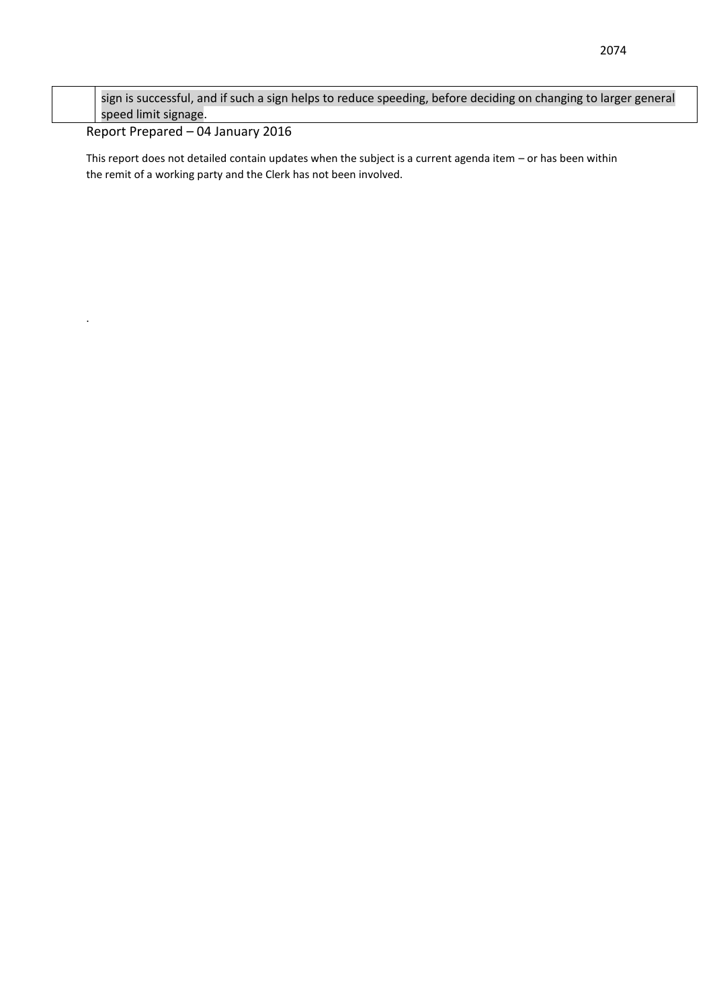| sign is successful, and if such a sign helps to reduce speeding, before deciding on changing to larger general |
|----------------------------------------------------------------------------------------------------------------|
| speed limit signage.                                                                                           |

#### Report Prepared – 04 January 2016

.

This report does not detailed contain updates when the subject is a current agenda item – or has been within the remit of a working party and the Clerk has not been involved.